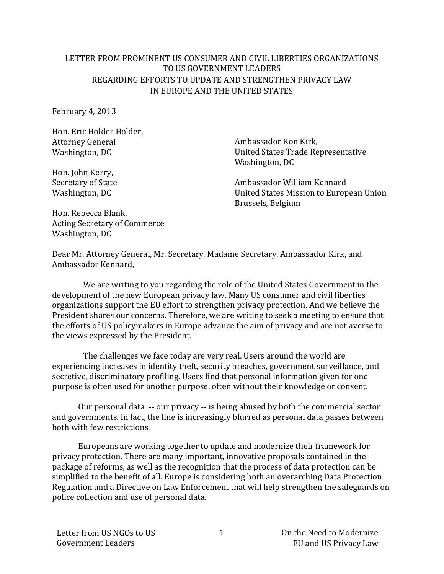## LETTER FROM PROMINENT US CONSUMER AND CIVIL LIBERTIES ORGANIZATIONS TO US GOVERNMENT LEADERS REGARDING EFFORTS TO UPDATE AND STRENGTHEN PRIVACY LAW IN EUROPE AND THE UNITED STATES

February 4, 2013

Hon. Eric Holder Holder, Attorney General Washington, DC

Hon. John Kerry, Secretary of State Washington, DC

Ambassador Ron Kirk, United States Trade Representative Washington, DC

Ambassador William Kennard United States Mission to European Union Brussels, Belgium

Hon. Rebecca Blank. Acting Secretary of Commerce Washington, DC

Dear Mr. Attorney General, Mr. Secretary, Madame Secretary, Ambassador Kirk, and Ambassador Kennard.

We are writing to you regarding the role of the United States Government in the development of the new European privacy law. Many US consumer and civil liberties organizations support the EU effort to strengthen privacy protection. And we believe the President shares our concerns. Therefore, we are writing to seek a meeting to ensure that the efforts of US policymakers in Europe advance the aim of privacy and are not averse to the views expressed by the President.

The challenges we face today are very real. Users around the world are experiencing increases in identity theft, security breaches, government surveillance, and secretive, discriminatory profiling. Users find that personal information given for one purpose is often used for another purpose, often without their knowledge or consent.

Our personal data  $-$  our privacy  $-$  is being abused by both the commercial sector and governments. In fact, the line is increasingly blurred as personal data passes between both with few restrictions. 

Europeans are working together to update and modernize their framework for privacy protection. There are many important, innovative proposals contained in the package of reforms, as well as the recognition that the process of data protection can be simplified to the benefit of all. Europe is considering both an overarching Data Protection Regulation and a Directive on Law Enforcement that will help strengthen the safeguards on police collection and use of personal data.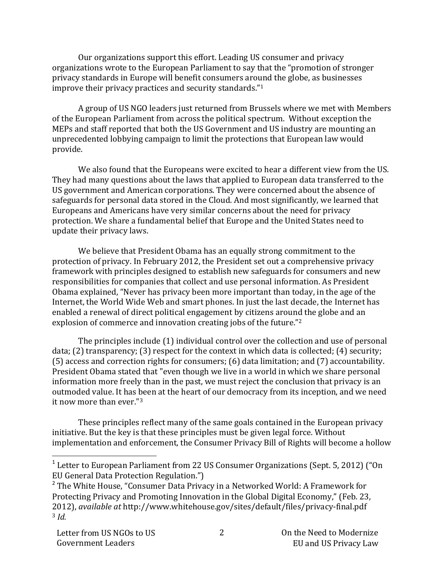Our organizations support this effort. Leading US consumer and privacy organizations wrote to the European Parliament to say that the "promotion of stronger privacy standards in Europe will benefit consumers around the globe, as businesses improve their privacy practices and security standards. $"^{1}$ 

A group of US NGO leaders just returned from Brussels where we met with Members of the European Parliament from across the political spectrum. Without exception the MEPs and staff reported that both the US Government and US industry are mounting an unprecedented lobbying campaign to limit the protections that European law would provide.

We also found that the Europeans were excited to hear a different view from the US. They had many questions about the laws that applied to European data transferred to the US government and American corporations. They were concerned about the absence of safeguards for personal data stored in the Cloud. And most significantly, we learned that Europeans and Americans have very similar concerns about the need for privacy protection. We share a fundamental belief that Europe and the United States need to update their privacy laws.

We believe that President Obama has an equally strong commitment to the protection of privacy. In February 2012, the President set out a comprehensive privacy framework with principles designed to establish new safeguards for consumers and new responsibilities for companies that collect and use personal information. As President Obama explained, "Never has privacy been more important than today, in the age of the Internet, the World Wide Web and smart phones. In just the last decade, the Internet has enabled a renewal of direct political engagement by citizens around the globe and an explosion of commerce and innovation creating jobs of the future."<sup>2</sup>

The principles include  $(1)$  individual control over the collection and use of personal data;  $(2)$  transparency;  $(3)$  respect for the context in which data is collected;  $(4)$  security;  $(5)$  access and correction rights for consumers;  $(6)$  data limitation; and  $(7)$  accountability. President Obama stated that "even though we live in a world in which we share personal information more freely than in the past, we must reject the conclusion that privacy is an outmoded value. It has been at the heart of our democracy from its inception, and we need it now more than ever." $3$ 

These principles reflect many of the same goals contained in the European privacy initiative. But the key is that these principles must be given legal force. Without implementation and enforcement, the Consumer Privacy Bill of Rights will become a hollow

<u> 1989 - Johann Stein, markin film yn y breninn y breninn y breninn y breninn y breninn y breninn y breninn y b</u>

 $1$  Letter to European Parliament from 22 US Consumer Organizations (Sept. 5, 2012) ("On EU General Data Protection Regulation.")

 $2$  The White House, "Consumer Data Privacy in a Networked World: A Framework for Protecting Privacy and Promoting Innovation in the Global Digital Economy," (Feb. 23, 2012), *available at http://www.whitehouse.gov/sites/default/files/privacy-final.pdf* <sup>3</sup> *Id.*